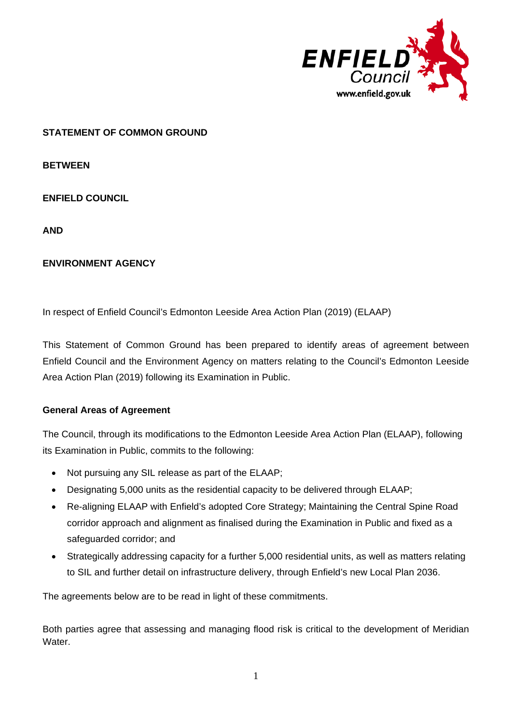

## **STATEMENT OF COMMON GROUND**

**BETWEEN**

**ENFIELD COUNCIL** 

**AND**

## **ENVIRONMENT AGENCY**

In respect of Enfield Council's Edmonton Leeside Area Action Plan (2019) (ELAAP)

This Statement of Common Ground has been prepared to identify areas of agreement between Enfield Council and the Environment Agency on matters relating to the Council's Edmonton Leeside Area Action Plan (2019) following its Examination in Public.

## **General Areas of Agreement**

The Council, through its modifications to the Edmonton Leeside Area Action Plan (ELAAP), following its Examination in Public, commits to the following:

- Not pursuing any SIL release as part of the ELAAP;
- Designating 5,000 units as the residential capacity to be delivered through ELAAP;
- Re-aligning ELAAP with Enfield's adopted Core Strategy; Maintaining the Central Spine Road corridor approach and alignment as finalised during the Examination in Public and fixed as a safeguarded corridor; and
- Strategically addressing capacity for a further 5,000 residential units, as well as matters relating to SIL and further detail on infrastructure delivery, through Enfield's new Local Plan 2036.

The agreements below are to be read in light of these commitments.

Both parties agree that assessing and managing flood risk is critical to the development of Meridian Water.